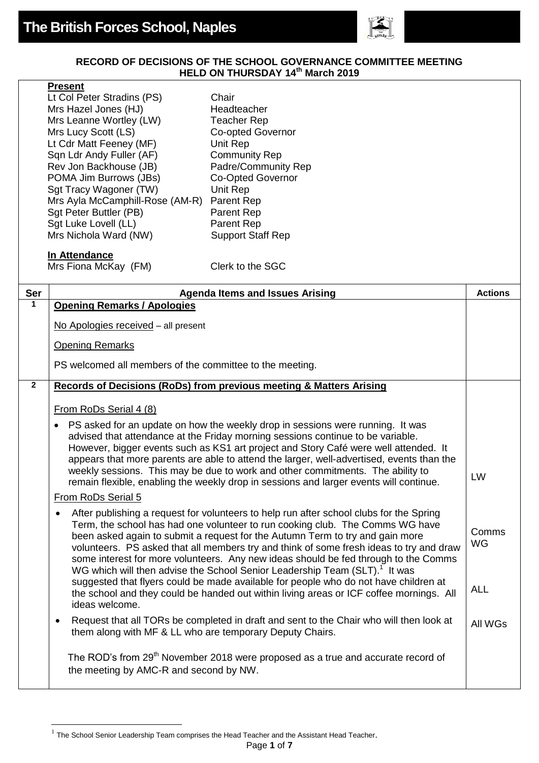

## **RECORD OF DECISIONS OF THE SCHOOL GOVERNANCE COMMITTEE MEETING HELD ON THURSDAY 14th March 2019**

| ۲resent |
|---------|
|---------|

|              | Lt Col Peter Stradins (PS)<br>Mrs Hazel Jones (HJ)<br>Mrs Leanne Wortley (LW)<br>Mrs Lucy Scott (LS)<br>Lt Cdr Matt Feeney (MF)<br>Sqn Ldr Andy Fuller (AF)<br>Rev Jon Backhouse (JB)<br>POMA Jim Burrows (JBs)<br>Sgt Tracy Wagoner (TW)<br>Mrs Ayla McCamphill-Rose (AM-R) | Chair<br>Headteacher<br><b>Teacher Rep</b><br><b>Co-opted Governor</b><br>Unit Rep<br><b>Community Rep</b><br>Padre/Community Rep<br><b>Co-Opted Governor</b><br>Unit Rep<br>Parent Rep                                                                                                                                                                                                                                                                                                                                                                                                                                                                                                                                  |                           |
|--------------|------------------------------------------------------------------------------------------------------------------------------------------------------------------------------------------------------------------------------------------------------------------------------|--------------------------------------------------------------------------------------------------------------------------------------------------------------------------------------------------------------------------------------------------------------------------------------------------------------------------------------------------------------------------------------------------------------------------------------------------------------------------------------------------------------------------------------------------------------------------------------------------------------------------------------------------------------------------------------------------------------------------|---------------------------|
|              | Sgt Peter Buttler (PB)<br>Sgt Luke Lovell (LL)<br>Mrs Nichola Ward (NW)                                                                                                                                                                                                      | Parent Rep<br>Parent Rep<br><b>Support Staff Rep</b>                                                                                                                                                                                                                                                                                                                                                                                                                                                                                                                                                                                                                                                                     |                           |
|              | In Attendance<br>Mrs Fiona McKay (FM)                                                                                                                                                                                                                                        | Clerk to the SGC                                                                                                                                                                                                                                                                                                                                                                                                                                                                                                                                                                                                                                                                                                         |                           |
| Ser          |                                                                                                                                                                                                                                                                              | <b>Agenda Items and Issues Arising</b>                                                                                                                                                                                                                                                                                                                                                                                                                                                                                                                                                                                                                                                                                   | <b>Actions</b>            |
| $\mathbf 1$  | <b>Opening Remarks / Apologies</b>                                                                                                                                                                                                                                           |                                                                                                                                                                                                                                                                                                                                                                                                                                                                                                                                                                                                                                                                                                                          |                           |
|              | No Apologies received - all present                                                                                                                                                                                                                                          |                                                                                                                                                                                                                                                                                                                                                                                                                                                                                                                                                                                                                                                                                                                          |                           |
|              | <b>Opening Remarks</b>                                                                                                                                                                                                                                                       |                                                                                                                                                                                                                                                                                                                                                                                                                                                                                                                                                                                                                                                                                                                          |                           |
|              | PS welcomed all members of the committee to the meeting.                                                                                                                                                                                                                     |                                                                                                                                                                                                                                                                                                                                                                                                                                                                                                                                                                                                                                                                                                                          |                           |
| $\mathbf{2}$ |                                                                                                                                                                                                                                                                              | Records of Decisions (RoDs) from previous meeting & Matters Arising                                                                                                                                                                                                                                                                                                                                                                                                                                                                                                                                                                                                                                                      |                           |
|              | From RoDs Serial 4 (8)                                                                                                                                                                                                                                                       |                                                                                                                                                                                                                                                                                                                                                                                                                                                                                                                                                                                                                                                                                                                          |                           |
|              | $\bullet$<br>From RoDs Serial 5                                                                                                                                                                                                                                              | PS asked for an update on how the weekly drop in sessions were running. It was<br>advised that attendance at the Friday morning sessions continue to be variable.<br>However, bigger events such as KS1 art project and Story Café were well attended. It<br>appears that more parents are able to attend the larger, well-advertised, events than the<br>weekly sessions. This may be due to work and other commitments. The ability to<br>remain flexible, enabling the weekly drop in sessions and larger events will continue.                                                                                                                                                                                       | LW                        |
|              | ideas welcome.                                                                                                                                                                                                                                                               | After publishing a request for volunteers to help run after school clubs for the Spring<br>Term, the school has had one volunteer to run cooking club. The Comms WG have<br>been asked again to submit a request for the Autumn Term to try and gain more<br>volunteers. PS asked that all members try and think of some fresh ideas to try and draw<br>some interest for more volunteers. Any new ideas should be fed through to the Comms<br>WG which will then advise the School Senior Leadership Team (SLT). <sup>1</sup> It was<br>suggested that flyers could be made available for people who do not have children at<br>the school and they could be handed out within living areas or ICF coffee mornings. All | Comms<br>WG<br><b>ALL</b> |
|              | $\bullet$<br>them along with MF & LL who are temporary Deputy Chairs.                                                                                                                                                                                                        | Request that all TORs be completed in draft and sent to the Chair who will then look at                                                                                                                                                                                                                                                                                                                                                                                                                                                                                                                                                                                                                                  | All WGs                   |
|              | the meeting by AMC-R and second by NW.                                                                                                                                                                                                                                       | The ROD's from 29 <sup>th</sup> November 2018 were proposed as a true and accurate record of                                                                                                                                                                                                                                                                                                                                                                                                                                                                                                                                                                                                                             |                           |

The School Senior Leadership Team comprises the Head Teacher and the Assistant Head Teacher.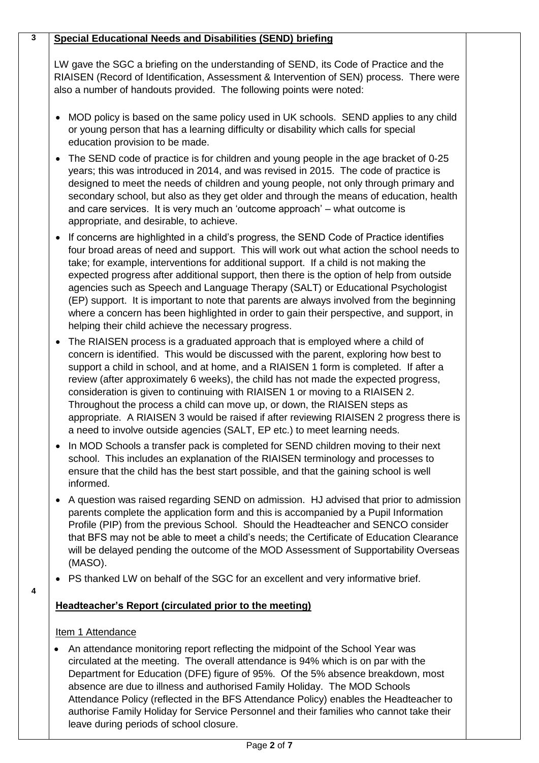## **Special Educational Needs and Disabilities (SEND) briefing**

**3**

LW gave the SGC a briefing on the understanding of SEND, its Code of Practice and the RIAISEN (Record of Identification, Assessment & Intervention of SEN) process. There were also a number of handouts provided. The following points were noted:

- MOD policy is based on the same policy used in UK schools. SEND applies to any child or young person that has a learning difficulty or disability which calls for special education provision to be made.
- The SEND code of practice is for children and young people in the age bracket of 0-25 years; this was introduced in 2014, and was revised in 2015. The code of practice is designed to meet the needs of children and young people, not only through primary and secondary school, but also as they get older and through the means of education, health and care services. It is very much an 'outcome approach' – what outcome is appropriate, and desirable, to achieve.
- If concerns are highlighted in a child's progress, the SEND Code of Practice identifies four broad areas of need and support. This will work out what action the school needs to take; for example, interventions for additional support. If a child is not making the expected progress after additional support, then there is the option of help from outside agencies such as Speech and Language Therapy (SALT) or Educational Psychologist (EP) support. It is important to note that parents are always involved from the beginning where a concern has been highlighted in order to gain their perspective, and support, in helping their child achieve the necessary progress.
- The RIAISEN process is a graduated approach that is employed where a child of concern is identified. This would be discussed with the parent, exploring how best to support a child in school, and at home, and a RIAISEN 1 form is completed. If after a review (after approximately 6 weeks), the child has not made the expected progress, consideration is given to continuing with RIAISEN 1 or moving to a RIAISEN 2. Throughout the process a child can move up, or down, the RIAISEN steps as appropriate. A RIAISEN 3 would be raised if after reviewing RIAISEN 2 progress there is a need to involve outside agencies (SALT, EP etc.) to meet learning needs.
- In MOD Schools a transfer pack is completed for SEND children moving to their next school. This includes an explanation of the RIAISEN terminology and processes to ensure that the child has the best start possible, and that the gaining school is well informed.
- A question was raised regarding SEND on admission. HJ advised that prior to admission parents complete the application form and this is accompanied by a Pupil Information Profile (PIP) from the previous School. Should the Headteacher and SENCO consider that BFS may not be able to meet a child's needs; the Certificate of Education Clearance will be delayed pending the outcome of the MOD Assessment of Supportability Overseas (MASO).
- PS thanked LW on behalf of the SGC for an excellent and very informative brief.

## **Headteacher's Report (circulated prior to the meeting)**

## Item 1 Attendance

**4**

• An attendance monitoring report reflecting the midpoint of the School Year was circulated at the meeting. The overall attendance is 94% which is on par with the Department for Education (DFE) figure of 95%. Of the 5% absence breakdown, most absence are due to illness and authorised Family Holiday. The MOD Schools Attendance Policy (reflected in the BFS Attendance Policy) enables the Headteacher to authorise Family Holiday for Service Personnel and their families who cannot take their leave during periods of school closure.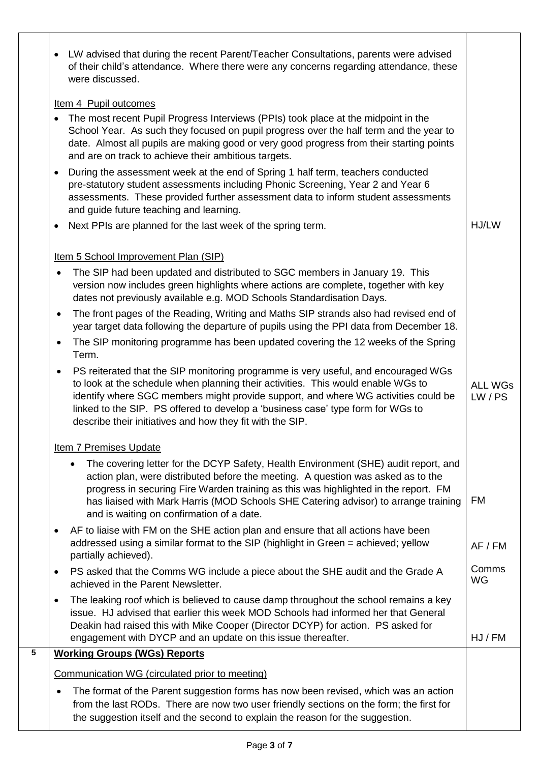|   | LW advised that during the recent Parent/Teacher Consultations, parents were advised<br>$\bullet$                                                                                                                                                                                                                                                                                                            |                         |
|---|--------------------------------------------------------------------------------------------------------------------------------------------------------------------------------------------------------------------------------------------------------------------------------------------------------------------------------------------------------------------------------------------------------------|-------------------------|
|   | of their child's attendance. Where there were any concerns regarding attendance, these<br>were discussed.                                                                                                                                                                                                                                                                                                    |                         |
|   | Item 4 Pupil outcomes                                                                                                                                                                                                                                                                                                                                                                                        |                         |
|   | The most recent Pupil Progress Interviews (PPIs) took place at the midpoint in the<br>$\bullet$<br>School Year. As such they focused on pupil progress over the half term and the year to<br>date. Almost all pupils are making good or very good progress from their starting points<br>and are on track to achieve their ambitious targets.                                                                |                         |
|   | During the assessment week at the end of Spring 1 half term, teachers conducted<br>$\bullet$<br>pre-statutory student assessments including Phonic Screening, Year 2 and Year 6<br>assessments. These provided further assessment data to inform student assessments<br>and guide future teaching and learning.                                                                                              |                         |
|   | Next PPIs are planned for the last week of the spring term.<br>٠                                                                                                                                                                                                                                                                                                                                             | HJ/LW                   |
|   | Item 5 School Improvement Plan (SIP)                                                                                                                                                                                                                                                                                                                                                                         |                         |
|   | The SIP had been updated and distributed to SGC members in January 19. This<br>version now includes green highlights where actions are complete, together with key<br>dates not previously available e.g. MOD Schools Standardisation Days.                                                                                                                                                                  |                         |
|   | The front pages of the Reading, Writing and Maths SIP strands also had revised end of<br>$\bullet$<br>year target data following the departure of pupils using the PPI data from December 18.                                                                                                                                                                                                                |                         |
|   | The SIP monitoring programme has been updated covering the 12 weeks of the Spring<br>$\bullet$<br>Term.                                                                                                                                                                                                                                                                                                      |                         |
|   | PS reiterated that the SIP monitoring programme is very useful, and encouraged WGs<br>to look at the schedule when planning their activities. This would enable WGs to<br>identify where SGC members might provide support, and where WG activities could be<br>linked to the SIP. PS offered to develop a 'business case' type form for WGs to<br>describe their initiatives and how they fit with the SIP. | <b>ALL WGs</b><br>LW/PS |
|   | <b>Item 7 Premises Update</b>                                                                                                                                                                                                                                                                                                                                                                                |                         |
|   | The covering letter for the DCYP Safety, Health Environment (SHE) audit report, and<br>action plan, were distributed before the meeting. A question was asked as to the<br>progress in securing Fire Warden training as this was highlighted in the report. FM<br>has liaised with Mark Harris (MOD Schools SHE Catering advisor) to arrange training<br>and is waiting on confirmation of a date.           | <b>FM</b>               |
|   | AF to liaise with FM on the SHE action plan and ensure that all actions have been<br>٠<br>addressed using a similar format to the SIP (highlight in Green = achieved; yellow<br>partially achieved).                                                                                                                                                                                                         | AF / FM                 |
|   | PS asked that the Comms WG include a piece about the SHE audit and the Grade A<br>٠<br>achieved in the Parent Newsletter.                                                                                                                                                                                                                                                                                    | Comms<br>WG             |
|   | The leaking roof which is believed to cause damp throughout the school remains a key<br>$\bullet$<br>issue. HJ advised that earlier this week MOD Schools had informed her that General<br>Deakin had raised this with Mike Cooper (Director DCYP) for action. PS asked for<br>engagement with DYCP and an update on this issue thereafter.                                                                  | HJ / FM                 |
| 5 | <b>Working Groups (WGs) Reports</b>                                                                                                                                                                                                                                                                                                                                                                          |                         |
|   | Communication WG (circulated prior to meeting)                                                                                                                                                                                                                                                                                                                                                               |                         |
|   | The format of the Parent suggestion forms has now been revised, which was an action<br>from the last RODs. There are now two user friendly sections on the form; the first for<br>the suggestion itself and the second to explain the reason for the suggestion.                                                                                                                                             |                         |

Τ

 $\overline{\phantom{a}}$ 

Τ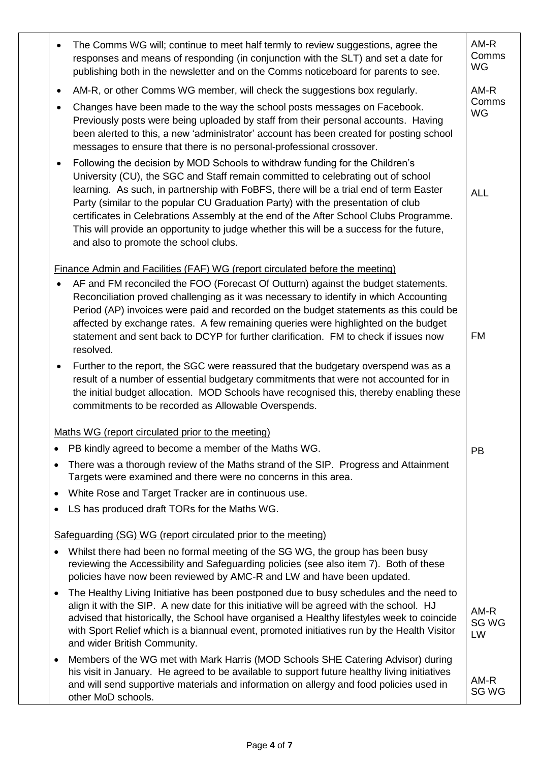| The Comms WG will; continue to meet half termly to review suggestions, agree the<br>$\bullet$<br>responses and means of responding (in conjunction with the SLT) and set a date for<br>publishing both in the newsletter and on the Comms noticeboard for parents to see.                                                                                                                                                                                                                                                                                                                 | AM-R<br>Comms<br>WG   |
|-------------------------------------------------------------------------------------------------------------------------------------------------------------------------------------------------------------------------------------------------------------------------------------------------------------------------------------------------------------------------------------------------------------------------------------------------------------------------------------------------------------------------------------------------------------------------------------------|-----------------------|
| AM-R, or other Comms WG member, will check the suggestions box regularly.<br>$\bullet$                                                                                                                                                                                                                                                                                                                                                                                                                                                                                                    | AM-R                  |
| Changes have been made to the way the school posts messages on Facebook.<br>$\bullet$<br>Previously posts were being uploaded by staff from their personal accounts. Having<br>been alerted to this, a new 'administrator' account has been created for posting school<br>messages to ensure that there is no personal-professional crossover.                                                                                                                                                                                                                                            | Comms<br>WG           |
| Following the decision by MOD Schools to withdraw funding for the Children's<br>$\bullet$<br>University (CU), the SGC and Staff remain committed to celebrating out of school<br>learning. As such, in partnership with FoBFS, there will be a trial end of term Easter<br>Party (similar to the popular CU Graduation Party) with the presentation of club<br>certificates in Celebrations Assembly at the end of the After School Clubs Programme.<br>This will provide an opportunity to judge whether this will be a success for the future,<br>and also to promote the school clubs. | <b>ALL</b>            |
| Finance Admin and Facilities (FAF) WG (report circulated before the meeting)                                                                                                                                                                                                                                                                                                                                                                                                                                                                                                              |                       |
| AF and FM reconciled the FOO (Forecast Of Outturn) against the budget statements.<br>$\bullet$<br>Reconciliation proved challenging as it was necessary to identify in which Accounting<br>Period (AP) invoices were paid and recorded on the budget statements as this could be<br>affected by exchange rates. A few remaining queries were highlighted on the budget<br>statement and sent back to DCYP for further clarification. FM to check if issues now<br>resolved.                                                                                                               | <b>FM</b>             |
| Further to the report, the SGC were reassured that the budgetary overspend was as a<br>$\bullet$<br>result of a number of essential budgetary commitments that were not accounted for in<br>the initial budget allocation. MOD Schools have recognised this, thereby enabling these<br>commitments to be recorded as Allowable Overspends.                                                                                                                                                                                                                                                |                       |
| Maths WG (report circulated prior to the meeting)                                                                                                                                                                                                                                                                                                                                                                                                                                                                                                                                         |                       |
| PB kindly agreed to become a member of the Maths WG.<br>$\bullet$                                                                                                                                                                                                                                                                                                                                                                                                                                                                                                                         | <b>PB</b>             |
| There was a thorough review of the Maths strand of the SIP. Progress and Attainment<br>$\bullet$<br>Targets were examined and there were no concerns in this area.                                                                                                                                                                                                                                                                                                                                                                                                                        |                       |
| White Rose and Target Tracker are in continuous use.<br>$\bullet$                                                                                                                                                                                                                                                                                                                                                                                                                                                                                                                         |                       |
| LS has produced draft TORs for the Maths WG.<br>$\bullet$                                                                                                                                                                                                                                                                                                                                                                                                                                                                                                                                 |                       |
| Safeguarding (SG) WG (report circulated prior to the meeting)                                                                                                                                                                                                                                                                                                                                                                                                                                                                                                                             |                       |
| Whilst there had been no formal meeting of the SG WG, the group has been busy<br>$\bullet$<br>reviewing the Accessibility and Safeguarding policies (see also item 7). Both of these<br>policies have now been reviewed by AMC-R and LW and have been updated.                                                                                                                                                                                                                                                                                                                            |                       |
| The Healthy Living Initiative has been postponed due to busy schedules and the need to<br>$\bullet$<br>align it with the SIP. A new date for this initiative will be agreed with the school. HJ<br>advised that historically, the School have organised a Healthy lifestyles week to coincide<br>with Sport Relief which is a biannual event, promoted initiatives run by the Health Visitor<br>and wider British Community.                                                                                                                                                              | $AM-R$<br>SG WG<br>LW |
| Members of the WG met with Mark Harris (MOD Schools SHE Catering Advisor) during<br>$\bullet$<br>his visit in January. He agreed to be available to support future healthy living initiatives<br>and will send supportive materials and information on allergy and food policies used in<br>other MoD schools.                                                                                                                                                                                                                                                                            | $AM-R$<br>SG WG       |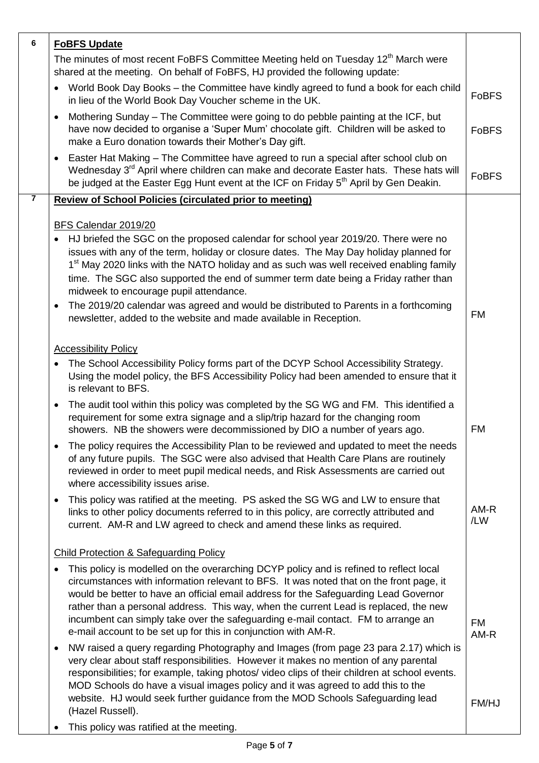| The minutes of most recent FoBFS Committee Meeting held on Tuesday 12 <sup>th</sup> March were<br>shared at the meeting. On behalf of FoBFS, HJ provided the following update:<br>World Book Day Books - the Committee have kindly agreed to fund a book for each child<br><b>FoBFS</b><br>in lieu of the World Book Day Voucher scheme in the UK.<br>Mothering Sunday – The Committee were going to do pebble painting at the ICF, but<br>have now decided to organise a 'Super Mum' chocolate gift. Children will be asked to<br><b>FoBFS</b><br>make a Euro donation towards their Mother's Day gift.<br>Easter Hat Making - The Committee have agreed to run a special after school club on<br>Wednesday 3 <sup>rd</sup> April where children can make and decorate Easter hats. These hats will<br><b>FoBFS</b><br>be judged at the Easter Egg Hunt event at the ICF on Friday 5 <sup>th</sup> April by Gen Deakin.<br>$\overline{7}$<br><b>Review of School Policies (circulated prior to meeting)</b><br>BFS Calendar 2019/20<br>HJ briefed the SGC on the proposed calendar for school year 2019/20. There were no<br>issues with any of the term, holiday or closure dates. The May Day holiday planned for<br>1 <sup>st</sup> May 2020 links with the NATO holiday and as such was well received enabling family<br>time. The SGC also supported the end of summer term date being a Friday rather than<br>midweek to encourage pupil attendance.<br>The 2019/20 calendar was agreed and would be distributed to Parents in a forthcoming<br><b>FM</b><br>newsletter, added to the website and made available in Reception.<br><b>Accessibility Policy</b><br>The School Accessibility Policy forms part of the DCYP School Accessibility Strategy.<br>$\bullet$<br>Using the model policy, the BFS Accessibility Policy had been amended to ensure that it<br>is relevant to BFS.<br>The audit tool within this policy was completed by the SG WG and FM. This identified a<br>requirement for some extra signage and a slip/trip hazard for the changing room<br>FM<br>showers. NB the showers were decommissioned by DIO a number of years ago.<br>The policy requires the Accessibility Plan to be reviewed and updated to meet the needs<br>of any future pupils. The SGC were also advised that Health Care Plans are routinely<br>reviewed in order to meet pupil medical needs, and Risk Assessments are carried out<br>where accessibility issues arise.<br>This policy was ratified at the meeting. PS asked the SG WG and LW to ensure that<br>$AM-R$<br>links to other policy documents referred to in this policy, are correctly attributed and<br>/LW<br>current. AM-R and LW agreed to check and amend these links as required.<br><b>Child Protection &amp; Safeguarding Policy</b><br>This policy is modelled on the overarching DCYP policy and is refined to reflect local<br>circumstances with information relevant to BFS. It was noted that on the front page, it<br>would be better to have an official email address for the Safeguarding Lead Governor<br>rather than a personal address. This way, when the current Lead is replaced, the new<br>incumbent can simply take over the safeguarding e-mail contact. FM to arrange an<br><b>FM</b><br>e-mail account to be set up for this in conjunction with AM-R.<br>AM-R<br>NW raised a query regarding Photography and Images (from page 23 para 2.17) which is<br>$\bullet$<br>very clear about staff responsibilities. However it makes no mention of any parental<br>responsibilities; for example, taking photos/ video clips of their children at school events.<br>MOD Schools do have a visual images policy and it was agreed to add this to the<br>website. HJ would seek further guidance from the MOD Schools Safeguarding lead<br>FM/HJ<br>(Hazel Russell).<br>This policy was ratified at the meeting. | 6 | <b>FoBFS Update</b> |  |
|-----------------------------------------------------------------------------------------------------------------------------------------------------------------------------------------------------------------------------------------------------------------------------------------------------------------------------------------------------------------------------------------------------------------------------------------------------------------------------------------------------------------------------------------------------------------------------------------------------------------------------------------------------------------------------------------------------------------------------------------------------------------------------------------------------------------------------------------------------------------------------------------------------------------------------------------------------------------------------------------------------------------------------------------------------------------------------------------------------------------------------------------------------------------------------------------------------------------------------------------------------------------------------------------------------------------------------------------------------------------------------------------------------------------------------------------------------------------------------------------------------------------------------------------------------------------------------------------------------------------------------------------------------------------------------------------------------------------------------------------------------------------------------------------------------------------------------------------------------------------------------------------------------------------------------------------------------------------------------------------------------------------------------------------------------------------------------------------------------------------------------------------------------------------------------------------------------------------------------------------------------------------------------------------------------------------------------------------------------------------------------------------------------------------------------------------------------------------------------------------------------------------------------------------------------------------------------------------------------------------------------------------------------------------------------------------------------------------------------------------------------------------------------------------------------------------------------------------------------------------------------------------------------------------------------------------------------------------------------------------------------------------------------------------------------------------------------------------------------------------------------------------------------------------------------------------------------------------------------------------------------------------------------------------------------------------------------------------------------------------------------------------------------------------------------------------------------------------------------------------------------------------------------------------------------------------------------------------------------------------------------------------------------------------------------------------------------------------------------------------------------------------------------------------------------------------------------------------------------------------------------------------------------------|---|---------------------|--|
|                                                                                                                                                                                                                                                                                                                                                                                                                                                                                                                                                                                                                                                                                                                                                                                                                                                                                                                                                                                                                                                                                                                                                                                                                                                                                                                                                                                                                                                                                                                                                                                                                                                                                                                                                                                                                                                                                                                                                                                                                                                                                                                                                                                                                                                                                                                                                                                                                                                                                                                                                                                                                                                                                                                                                                                                                                                                                                                                                                                                                                                                                                                                                                                                                                                                                                                                                                                                                                                                                                                                                                                                                                                                                                                                                                                                                                                                                                           |   |                     |  |
|                                                                                                                                                                                                                                                                                                                                                                                                                                                                                                                                                                                                                                                                                                                                                                                                                                                                                                                                                                                                                                                                                                                                                                                                                                                                                                                                                                                                                                                                                                                                                                                                                                                                                                                                                                                                                                                                                                                                                                                                                                                                                                                                                                                                                                                                                                                                                                                                                                                                                                                                                                                                                                                                                                                                                                                                                                                                                                                                                                                                                                                                                                                                                                                                                                                                                                                                                                                                                                                                                                                                                                                                                                                                                                                                                                                                                                                                                                           |   |                     |  |
|                                                                                                                                                                                                                                                                                                                                                                                                                                                                                                                                                                                                                                                                                                                                                                                                                                                                                                                                                                                                                                                                                                                                                                                                                                                                                                                                                                                                                                                                                                                                                                                                                                                                                                                                                                                                                                                                                                                                                                                                                                                                                                                                                                                                                                                                                                                                                                                                                                                                                                                                                                                                                                                                                                                                                                                                                                                                                                                                                                                                                                                                                                                                                                                                                                                                                                                                                                                                                                                                                                                                                                                                                                                                                                                                                                                                                                                                                                           |   |                     |  |
|                                                                                                                                                                                                                                                                                                                                                                                                                                                                                                                                                                                                                                                                                                                                                                                                                                                                                                                                                                                                                                                                                                                                                                                                                                                                                                                                                                                                                                                                                                                                                                                                                                                                                                                                                                                                                                                                                                                                                                                                                                                                                                                                                                                                                                                                                                                                                                                                                                                                                                                                                                                                                                                                                                                                                                                                                                                                                                                                                                                                                                                                                                                                                                                                                                                                                                                                                                                                                                                                                                                                                                                                                                                                                                                                                                                                                                                                                                           |   |                     |  |
|                                                                                                                                                                                                                                                                                                                                                                                                                                                                                                                                                                                                                                                                                                                                                                                                                                                                                                                                                                                                                                                                                                                                                                                                                                                                                                                                                                                                                                                                                                                                                                                                                                                                                                                                                                                                                                                                                                                                                                                                                                                                                                                                                                                                                                                                                                                                                                                                                                                                                                                                                                                                                                                                                                                                                                                                                                                                                                                                                                                                                                                                                                                                                                                                                                                                                                                                                                                                                                                                                                                                                                                                                                                                                                                                                                                                                                                                                                           |   |                     |  |
|                                                                                                                                                                                                                                                                                                                                                                                                                                                                                                                                                                                                                                                                                                                                                                                                                                                                                                                                                                                                                                                                                                                                                                                                                                                                                                                                                                                                                                                                                                                                                                                                                                                                                                                                                                                                                                                                                                                                                                                                                                                                                                                                                                                                                                                                                                                                                                                                                                                                                                                                                                                                                                                                                                                                                                                                                                                                                                                                                                                                                                                                                                                                                                                                                                                                                                                                                                                                                                                                                                                                                                                                                                                                                                                                                                                                                                                                                                           |   |                     |  |
|                                                                                                                                                                                                                                                                                                                                                                                                                                                                                                                                                                                                                                                                                                                                                                                                                                                                                                                                                                                                                                                                                                                                                                                                                                                                                                                                                                                                                                                                                                                                                                                                                                                                                                                                                                                                                                                                                                                                                                                                                                                                                                                                                                                                                                                                                                                                                                                                                                                                                                                                                                                                                                                                                                                                                                                                                                                                                                                                                                                                                                                                                                                                                                                                                                                                                                                                                                                                                                                                                                                                                                                                                                                                                                                                                                                                                                                                                                           |   |                     |  |
|                                                                                                                                                                                                                                                                                                                                                                                                                                                                                                                                                                                                                                                                                                                                                                                                                                                                                                                                                                                                                                                                                                                                                                                                                                                                                                                                                                                                                                                                                                                                                                                                                                                                                                                                                                                                                                                                                                                                                                                                                                                                                                                                                                                                                                                                                                                                                                                                                                                                                                                                                                                                                                                                                                                                                                                                                                                                                                                                                                                                                                                                                                                                                                                                                                                                                                                                                                                                                                                                                                                                                                                                                                                                                                                                                                                                                                                                                                           |   |                     |  |
|                                                                                                                                                                                                                                                                                                                                                                                                                                                                                                                                                                                                                                                                                                                                                                                                                                                                                                                                                                                                                                                                                                                                                                                                                                                                                                                                                                                                                                                                                                                                                                                                                                                                                                                                                                                                                                                                                                                                                                                                                                                                                                                                                                                                                                                                                                                                                                                                                                                                                                                                                                                                                                                                                                                                                                                                                                                                                                                                                                                                                                                                                                                                                                                                                                                                                                                                                                                                                                                                                                                                                                                                                                                                                                                                                                                                                                                                                                           |   |                     |  |
|                                                                                                                                                                                                                                                                                                                                                                                                                                                                                                                                                                                                                                                                                                                                                                                                                                                                                                                                                                                                                                                                                                                                                                                                                                                                                                                                                                                                                                                                                                                                                                                                                                                                                                                                                                                                                                                                                                                                                                                                                                                                                                                                                                                                                                                                                                                                                                                                                                                                                                                                                                                                                                                                                                                                                                                                                                                                                                                                                                                                                                                                                                                                                                                                                                                                                                                                                                                                                                                                                                                                                                                                                                                                                                                                                                                                                                                                                                           |   |                     |  |
|                                                                                                                                                                                                                                                                                                                                                                                                                                                                                                                                                                                                                                                                                                                                                                                                                                                                                                                                                                                                                                                                                                                                                                                                                                                                                                                                                                                                                                                                                                                                                                                                                                                                                                                                                                                                                                                                                                                                                                                                                                                                                                                                                                                                                                                                                                                                                                                                                                                                                                                                                                                                                                                                                                                                                                                                                                                                                                                                                                                                                                                                                                                                                                                                                                                                                                                                                                                                                                                                                                                                                                                                                                                                                                                                                                                                                                                                                                           |   |                     |  |
|                                                                                                                                                                                                                                                                                                                                                                                                                                                                                                                                                                                                                                                                                                                                                                                                                                                                                                                                                                                                                                                                                                                                                                                                                                                                                                                                                                                                                                                                                                                                                                                                                                                                                                                                                                                                                                                                                                                                                                                                                                                                                                                                                                                                                                                                                                                                                                                                                                                                                                                                                                                                                                                                                                                                                                                                                                                                                                                                                                                                                                                                                                                                                                                                                                                                                                                                                                                                                                                                                                                                                                                                                                                                                                                                                                                                                                                                                                           |   |                     |  |
|                                                                                                                                                                                                                                                                                                                                                                                                                                                                                                                                                                                                                                                                                                                                                                                                                                                                                                                                                                                                                                                                                                                                                                                                                                                                                                                                                                                                                                                                                                                                                                                                                                                                                                                                                                                                                                                                                                                                                                                                                                                                                                                                                                                                                                                                                                                                                                                                                                                                                                                                                                                                                                                                                                                                                                                                                                                                                                                                                                                                                                                                                                                                                                                                                                                                                                                                                                                                                                                                                                                                                                                                                                                                                                                                                                                                                                                                                                           |   |                     |  |
|                                                                                                                                                                                                                                                                                                                                                                                                                                                                                                                                                                                                                                                                                                                                                                                                                                                                                                                                                                                                                                                                                                                                                                                                                                                                                                                                                                                                                                                                                                                                                                                                                                                                                                                                                                                                                                                                                                                                                                                                                                                                                                                                                                                                                                                                                                                                                                                                                                                                                                                                                                                                                                                                                                                                                                                                                                                                                                                                                                                                                                                                                                                                                                                                                                                                                                                                                                                                                                                                                                                                                                                                                                                                                                                                                                                                                                                                                                           |   |                     |  |
|                                                                                                                                                                                                                                                                                                                                                                                                                                                                                                                                                                                                                                                                                                                                                                                                                                                                                                                                                                                                                                                                                                                                                                                                                                                                                                                                                                                                                                                                                                                                                                                                                                                                                                                                                                                                                                                                                                                                                                                                                                                                                                                                                                                                                                                                                                                                                                                                                                                                                                                                                                                                                                                                                                                                                                                                                                                                                                                                                                                                                                                                                                                                                                                                                                                                                                                                                                                                                                                                                                                                                                                                                                                                                                                                                                                                                                                                                                           |   |                     |  |
|                                                                                                                                                                                                                                                                                                                                                                                                                                                                                                                                                                                                                                                                                                                                                                                                                                                                                                                                                                                                                                                                                                                                                                                                                                                                                                                                                                                                                                                                                                                                                                                                                                                                                                                                                                                                                                                                                                                                                                                                                                                                                                                                                                                                                                                                                                                                                                                                                                                                                                                                                                                                                                                                                                                                                                                                                                                                                                                                                                                                                                                                                                                                                                                                                                                                                                                                                                                                                                                                                                                                                                                                                                                                                                                                                                                                                                                                                                           |   |                     |  |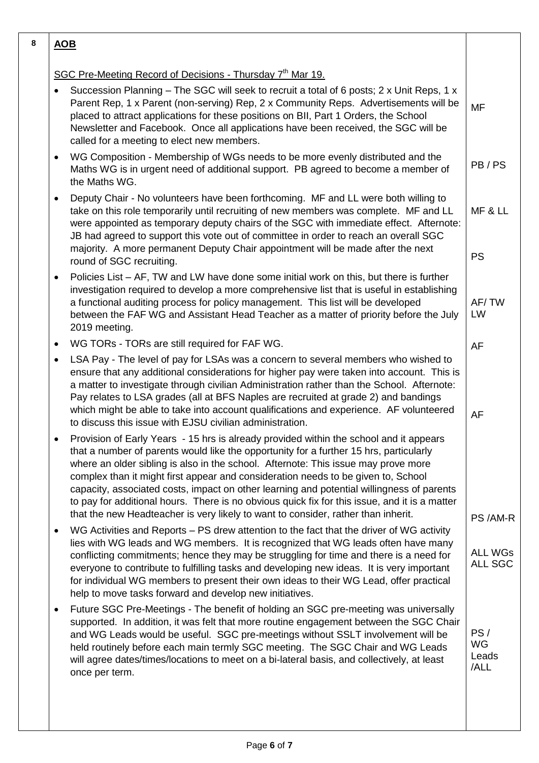| 8 | <b>AOB</b>                                                                                                                                                                                                                                                                                                                                                                                                                                                                                                                                                                                                                                     |                                   |
|---|------------------------------------------------------------------------------------------------------------------------------------------------------------------------------------------------------------------------------------------------------------------------------------------------------------------------------------------------------------------------------------------------------------------------------------------------------------------------------------------------------------------------------------------------------------------------------------------------------------------------------------------------|-----------------------------------|
|   | SGC Pre-Meeting Record of Decisions - Thursday 7 <sup>th</sup> Mar 19.                                                                                                                                                                                                                                                                                                                                                                                                                                                                                                                                                                         |                                   |
|   | Succession Planning – The SGC will seek to recruit a total of 6 posts; 2 x Unit Reps, 1 x<br>Parent Rep, 1 x Parent (non-serving) Rep, 2 x Community Reps. Advertisements will be<br>placed to attract applications for these positions on BII, Part 1 Orders, the School<br>Newsletter and Facebook. Once all applications have been received, the SGC will be<br>called for a meeting to elect new members.                                                                                                                                                                                                                                  | <b>MF</b>                         |
|   | WG Composition - Membership of WGs needs to be more evenly distributed and the<br>٠<br>Maths WG is in urgent need of additional support. PB agreed to become a member of<br>the Maths WG.                                                                                                                                                                                                                                                                                                                                                                                                                                                      | PB/PS                             |
|   | Deputy Chair - No volunteers have been forthcoming. MF and LL were both willing to<br>$\bullet$<br>take on this role temporarily until recruiting of new members was complete. MF and LL<br>were appointed as temporary deputy chairs of the SGC with immediate effect. Afternote:<br>JB had agreed to support this vote out of committee in order to reach an overall SGC<br>majority. A more permanent Deputy Chair appointment will be made after the next<br>round of SGC recruiting.                                                                                                                                                      | MF & LL<br><b>PS</b>              |
|   | Policies List – AF, TW and LW have done some initial work on this, but there is further<br>$\bullet$<br>investigation required to develop a more comprehensive list that is useful in establishing<br>a functional auditing process for policy management. This list will be developed<br>between the FAF WG and Assistant Head Teacher as a matter of priority before the July<br>2019 meeting.                                                                                                                                                                                                                                               | AF/TW<br>LW                       |
|   | WG TORs - TORs are still required for FAF WG.<br>$\bullet$                                                                                                                                                                                                                                                                                                                                                                                                                                                                                                                                                                                     | <b>AF</b>                         |
|   | LSA Pay - The level of pay for LSAs was a concern to several members who wished to<br>$\bullet$<br>ensure that any additional considerations for higher pay were taken into account. This is<br>a matter to investigate through civilian Administration rather than the School. Afternote:<br>Pay relates to LSA grades (all at BFS Naples are recruited at grade 2) and bandings<br>which might be able to take into account qualifications and experience. AF volunteered<br>to discuss this issue with EJSU civilian administration.                                                                                                        | AF                                |
|   | Provision of Early Years - 15 hrs is already provided within the school and it appears<br>that a number of parents would like the opportunity for a further 15 hrs, particularly<br>where an older sibling is also in the school. Afternote: This issue may prove more<br>complex than it might first appear and consideration needs to be given to, School<br>capacity, associated costs, impact on other learning and potential willingness of parents<br>to pay for additional hours. There is no obvious quick fix for this issue, and it is a matter<br>that the new Headteacher is very likely to want to consider, rather than inherit. | PS/AM-R                           |
|   | WG Activities and Reports – PS drew attention to the fact that the driver of WG activity<br>$\bullet$<br>lies with WG leads and WG members. It is recognized that WG leads often have many<br>conflicting commitments; hence they may be struggling for time and there is a need for<br>everyone to contribute to fulfilling tasks and developing new ideas. It is very important<br>for individual WG members to present their own ideas to their WG Lead, offer practical<br>help to move tasks forward and develop new initiatives.                                                                                                         | <b>ALL WGs</b><br>ALL SGC         |
|   | Future SGC Pre-Meetings - The benefit of holding an SGC pre-meeting was universally<br>٠<br>supported. In addition, it was felt that more routine engagement between the SGC Chair<br>and WG Leads would be useful. SGC pre-meetings without SSLT involvement will be<br>held routinely before each main termly SGC meeting. The SGC Chair and WG Leads<br>will agree dates/times/locations to meet on a bi-lateral basis, and collectively, at least<br>once per term.                                                                                                                                                                        | PS/<br><b>WG</b><br>Leads<br>/ALL |
|   |                                                                                                                                                                                                                                                                                                                                                                                                                                                                                                                                                                                                                                                |                                   |